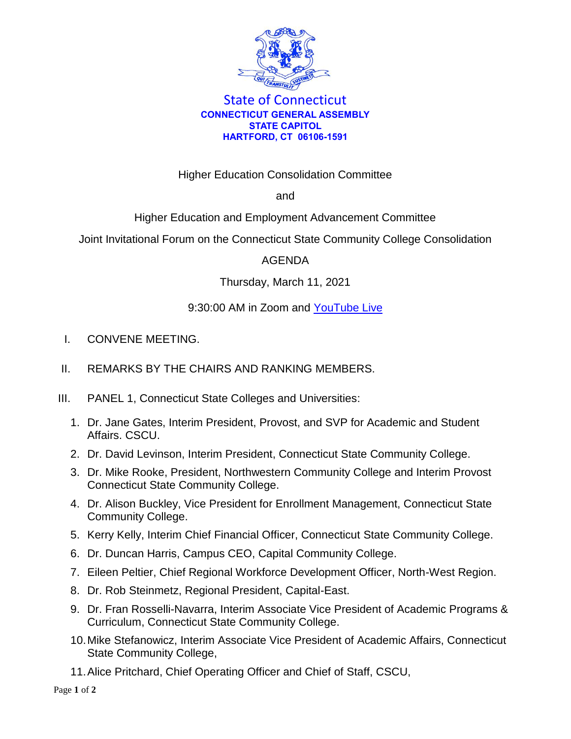

## State of Connecticut **CONNECTICUT GENERAL ASSEMBLY STATE CAPITOL HARTFORD, CT 06106-1591**

Higher Education Consolidation Committee

and

Higher Education and Employment Advancement Committee

Joint Invitational Forum on the Connecticut State Community College Consolidation

## AGENDA

Thursday, March 11, 2021

## 9:30:00 AM in Zoom and [YouTube Live](https://www.cga.ct.gov/ytHED)

- I. CONVENE MEETING.
- II. REMARKS BY THE CHAIRS AND RANKING MEMBERS.
- III. PANEL 1, Connecticut State Colleges and Universities:
	- 1. Dr. Jane Gates, Interim President, Provost, and SVP for Academic and Student Affairs. CSCU.
	- 2. Dr. David Levinson, Interim President, Connecticut State Community College.
	- 3. Dr. Mike Rooke, President, Northwestern Community College and Interim Provost Connecticut State Community College.
	- 4. Dr. Alison Buckley, Vice President for Enrollment Management, Connecticut State Community College.
	- 5. Kerry Kelly, Interim Chief Financial Officer, Connecticut State Community College.
	- 6. Dr. Duncan Harris, Campus CEO, Capital Community College.
	- 7. Eileen Peltier, Chief Regional Workforce Development Officer, North-West Region.
	- 8. Dr. Rob Steinmetz, Regional President, Capital-East.
	- 9. Dr. Fran Rosselli-Navarra, Interim Associate Vice President of Academic Programs & Curriculum, Connecticut State Community College.
	- 10.Mike Stefanowicz, Interim Associate Vice President of Academic Affairs, Connecticut State Community College,
	- 11.Alice Pritchard, Chief Operating Officer and Chief of Staff, CSCU,

Page **1** of **2**